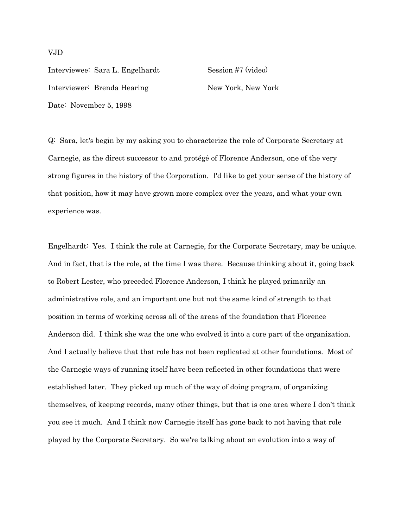Interviewee: Sara L. Engelhardt Session #7 (video) Interviewer: Brenda Hearing New York, New York Date: November 5, 1998

Q: Sara, let's begin by my asking you to characterize the role of Corporate Secretary at Carnegie, as the direct successor to and protégé of Florence Anderson, one of the very strong figures in the history of the Corporation. I'd like to get your sense of the history of that position, how it may have grown more complex over the years, and what your own experience was.

Engelhardt: Yes. I think the role at Carnegie, for the Corporate Secretary, may be unique. And in fact, that is the role, at the time I was there. Because thinking about it, going back to Robert Lester, who preceded Florence Anderson, I think he played primarily an administrative role, and an important one but not the same kind of strength to that position in terms of working across all of the areas of the foundation that Florence Anderson did. I think she was the one who evolved it into a core part of the organization. And I actually believe that that role has not been replicated at other foundations. Most of the Carnegie ways of running itself have been reflected in other foundations that were established later. They picked up much of the way of doing program, of organizing themselves, of keeping records, many other things, but that is one area where I don't think you see it much. And I think now Carnegie itself has gone back to not having that role played by the Corporate Secretary. So we're talking about an evolution into a way of

### VJD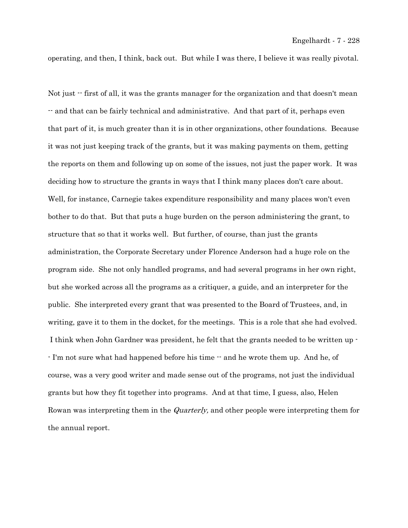operating, and then, I think, back out. But while I was there, I believe it was really pivotal.

Not just  $\cdot$  first of all, it was the grants manager for the organization and that doesn't mean -- and that can be fairly technical and administrative. And that part of it, perhaps even that part of it, is much greater than it is in other organizations, other foundations. Because it was not just keeping track of the grants, but it was making payments on them, getting the reports on them and following up on some of the issues, not just the paper work. It was deciding how to structure the grants in ways that I think many places don't care about. Well, for instance, Carnegie takes expenditure responsibility and many places won't even bother to do that. But that puts a huge burden on the person administering the grant, to structure that so that it works well. But further, of course, than just the grants administration, the Corporate Secretary under Florence Anderson had a huge role on the program side. She not only handled programs, and had several programs in her own right, but she worked across all the programs as a critiquer, a guide, and an interpreter for the public. She interpreted every grant that was presented to the Board of Trustees, and, in writing, gave it to them in the docket, for the meetings. This is a role that she had evolved. I think when John Gardner was president, he felt that the grants needed to be written up - - I'm not sure what had happened before his time -- and he wrote them up. And he, of course, was a very good writer and made sense out of the programs, not just the individual grants but how they fit together into programs. And at that time, I guess, also, Helen Rowan was interpreting them in the *Quarterly*, and other people were interpreting them for the annual report.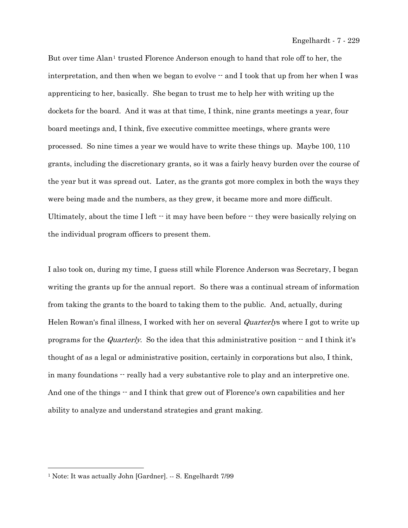But over time Alan<sup>[1](#page-2-0)</sup> trusted Florence Anderson enough to hand that role off to her, the interpretation, and then when we began to evolve  $-$  and I took that up from her when I was apprenticing to her, basically. She began to trust me to help her with writing up the dockets for the board. And it was at that time, I think, nine grants meetings a year, four board meetings and, I think, five executive committee meetings, where grants were processed. So nine times a year we would have to write these things up. Maybe 100, 110 grants, including the discretionary grants, so it was a fairly heavy burden over the course of the year but it was spread out. Later, as the grants got more complex in both the ways they were being made and the numbers, as they grew, it became more and more difficult. Ultimately, about the time I left  $\cdot$  it may have been before  $\cdot$  they were basically relying on the individual program officers to present them.

I also took on, during my time, I guess still while Florence Anderson was Secretary, I began writing the grants up for the annual report. So there was a continual stream of information from taking the grants to the board to taking them to the public. And, actually, during Helen Rowan's final illness, I worked with her on several *Quarterlys* where I got to write up programs for the *Quarterly*. So the idea that this administrative position  $\cdot$  and I think it's thought of as a legal or administrative position, certainly in corporations but also, I think, in many foundations  $\cdot$  really had a very substantive role to play and an interpretive one. And one of the things  $-$  and I think that grew out of Florence's own capabilities and her ability to analyze and understand strategies and grant making.

i

<span id="page-2-0"></span><sup>1</sup> Note: It was actually John [Gardner]. -- S. Engelhardt 7/99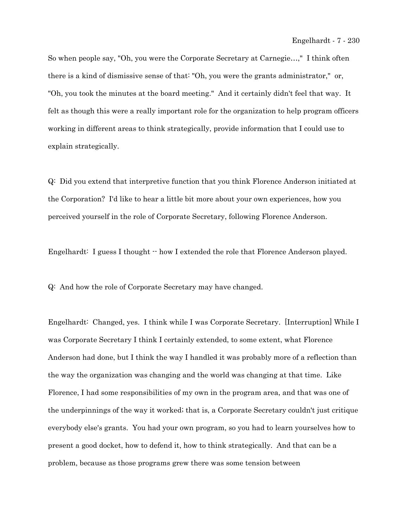So when people say, "Oh, you were the Corporate Secretary at Carnegie…," I think often there is a kind of dismissive sense of that: "Oh, you were the grants administrator," or, "Oh, you took the minutes at the board meeting." And it certainly didn't feel that way. It felt as though this were a really important role for the organization to help program officers working in different areas to think strategically, provide information that I could use to explain strategically.

Q: Did you extend that interpretive function that you think Florence Anderson initiated at the Corporation? I'd like to hear a little bit more about your own experiences, how you perceived yourself in the role of Corporate Secretary, following Florence Anderson.

Engelhardt: I guess I thought  $\cdot$  how I extended the role that Florence Anderson played.

Q: And how the role of Corporate Secretary may have changed.

Engelhardt: Changed, yes. I think while I was Corporate Secretary. [Interruption] While I was Corporate Secretary I think I certainly extended, to some extent, what Florence Anderson had done, but I think the way I handled it was probably more of a reflection than the way the organization was changing and the world was changing at that time. Like Florence, I had some responsibilities of my own in the program area, and that was one of the underpinnings of the way it worked; that is, a Corporate Secretary couldn't just critique everybody else's grants. You had your own program, so you had to learn yourselves how to present a good docket, how to defend it, how to think strategically. And that can be a problem, because as those programs grew there was some tension between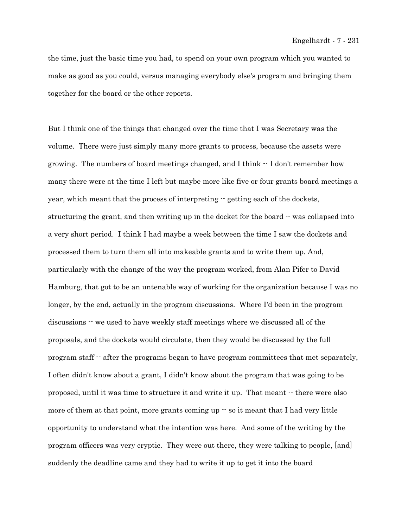#### Engelhardt - 7 - 231

the time, just the basic time you had, to spend on your own program which you wanted to make as good as you could, versus managing everybody else's program and bringing them together for the board or the other reports.

But I think one of the things that changed over the time that I was Secretary was the volume. There were just simply many more grants to process, because the assets were growing. The numbers of board meetings changed, and I think -- I don't remember how many there were at the time I left but maybe more like five or four grants board meetings a year, which meant that the process of interpreting  $\cdot$  getting each of the dockets, structuring the grant, and then writing up in the docket for the board  $\cdot$  was collapsed into a very short period. I think I had maybe a week between the time I saw the dockets and processed them to turn them all into makeable grants and to write them up. And, particularly with the change of the way the program worked, from Alan Pifer to David Hamburg, that got to be an untenable way of working for the organization because I was no longer, by the end, actually in the program discussions. Where I'd been in the program discussions -- we used to have weekly staff meetings where we discussed all of the proposals, and the dockets would circulate, then they would be discussed by the full program staff -- after the programs began to have program committees that met separately, I often didn't know about a grant, I didn't know about the program that was going to be proposed, until it was time to structure it and write it up. That meant -- there were also more of them at that point, more grants coming up  $-$  so it meant that I had very little opportunity to understand what the intention was here. And some of the writing by the program officers was very cryptic. They were out there, they were talking to people, [and] suddenly the deadline came and they had to write it up to get it into the board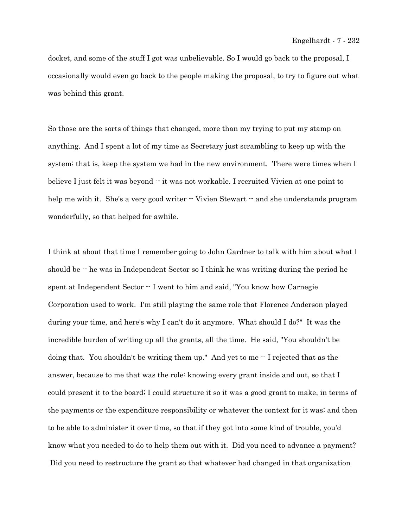docket, and some of the stuff I got was unbelievable. So I would go back to the proposal, I occasionally would even go back to the people making the proposal, to try to figure out what was behind this grant.

So those are the sorts of things that changed, more than my trying to put my stamp on anything. And I spent a lot of my time as Secretary just scrambling to keep up with the system; that is, keep the system we had in the new environment. There were times when I believe I just felt it was beyond  $\cdot\cdot$  it was not workable. I recruited Vivien at one point to help me with it. She's a very good writer  $\cdot$  Vivien Stewart  $\cdot$  and she understands program wonderfully, so that helped for awhile.

I think at about that time I remember going to John Gardner to talk with him about what I should be  $\cdot$  he was in Independent Sector so I think he was writing during the period he spent at Independent Sector  $\cdot$  I went to him and said, "You know how Carnegie Corporation used to work. I'm still playing the same role that Florence Anderson played during your time, and here's why I can't do it anymore. What should I do?" It was the incredible burden of writing up all the grants, all the time. He said, "You shouldn't be doing that. You shouldn't be writing them up." And yet to me  $\cdot$  I rejected that as the answer, because to me that was the role: knowing every grant inside and out, so that I could present it to the board; I could structure it so it was a good grant to make, in terms of the payments or the expenditure responsibility or whatever the context for it was; and then to be able to administer it over time, so that if they got into some kind of trouble, you'd know what you needed to do to help them out with it. Did you need to advance a payment? Did you need to restructure the grant so that whatever had changed in that organization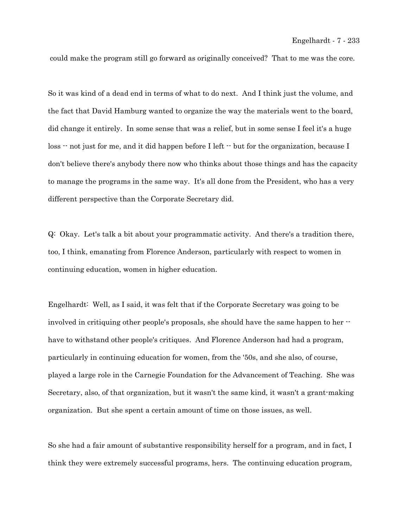could make the program still go forward as originally conceived? That to me was the core.

So it was kind of a dead end in terms of what to do next. And I think just the volume, and the fact that David Hamburg wanted to organize the way the materials went to the board, did change it entirely. In some sense that was a relief, but in some sense I feel it's a huge loss  $\cdot$  not just for me, and it did happen before I left  $\cdot$  but for the organization, because I don't believe there's anybody there now who thinks about those things and has the capacity to manage the programs in the same way. It's all done from the President, who has a very different perspective than the Corporate Secretary did.

Q: Okay. Let's talk a bit about your programmatic activity. And there's a tradition there, too, I think, emanating from Florence Anderson, particularly with respect to women in continuing education, women in higher education.

Engelhardt: Well, as I said, it was felt that if the Corporate Secretary was going to be involved in critiquing other people's proposals, she should have the same happen to her - have to withstand other people's critiques. And Florence Anderson had had a program, particularly in continuing education for women, from the '50s, and she also, of course, played a large role in the Carnegie Foundation for the Advancement of Teaching. She was Secretary, also, of that organization, but it wasn't the same kind, it wasn't a grant-making organization. But she spent a certain amount of time on those issues, as well.

So she had a fair amount of substantive responsibility herself for a program, and in fact, I think they were extremely successful programs, hers. The continuing education program,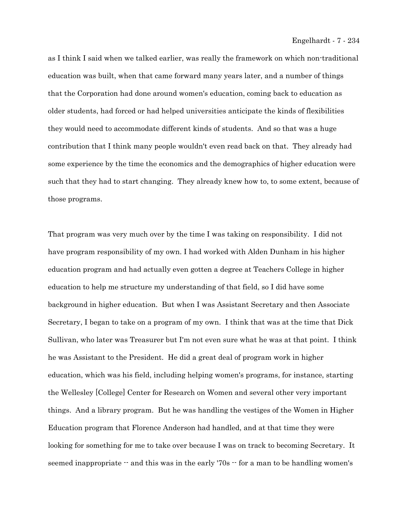as I think I said when we talked earlier, was really the framework on which non-traditional education was built, when that came forward many years later, and a number of things that the Corporation had done around women's education, coming back to education as older students, had forced or had helped universities anticipate the kinds of flexibilities they would need to accommodate different kinds of students. And so that was a huge contribution that I think many people wouldn't even read back on that. They already had some experience by the time the economics and the demographics of higher education were such that they had to start changing. They already knew how to, to some extent, because of those programs.

That program was very much over by the time I was taking on responsibility. I did not have program responsibility of my own. I had worked with Alden Dunham in his higher education program and had actually even gotten a degree at Teachers College in higher education to help me structure my understanding of that field, so I did have some background in higher education. But when I was Assistant Secretary and then Associate Secretary, I began to take on a program of my own. I think that was at the time that Dick Sullivan, who later was Treasurer but I'm not even sure what he was at that point. I think he was Assistant to the President. He did a great deal of program work in higher education, which was his field, including helping women's programs, for instance, starting the Wellesley [College] Center for Research on Women and several other very important things. And a library program. But he was handling the vestiges of the Women in Higher Education program that Florence Anderson had handled, and at that time they were looking for something for me to take over because I was on track to becoming Secretary. It seemed inappropriate  $-$  and this was in the early '70s  $-$  for a man to be handling women's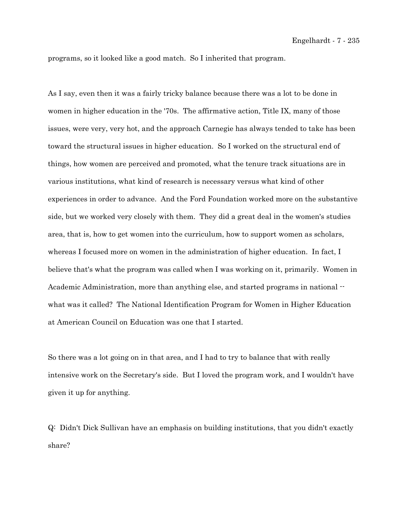programs, so it looked like a good match. So I inherited that program.

As I say, even then it was a fairly tricky balance because there was a lot to be done in women in higher education in the '70s. The affirmative action, Title IX, many of those issues, were very, very hot, and the approach Carnegie has always tended to take has been toward the structural issues in higher education. So I worked on the structural end of things, how women are perceived and promoted, what the tenure track situations are in various institutions, what kind of research is necessary versus what kind of other experiences in order to advance. And the Ford Foundation worked more on the substantive side, but we worked very closely with them. They did a great deal in the women's studies area, that is, how to get women into the curriculum, how to support women as scholars, whereas I focused more on women in the administration of higher education. In fact, I believe that's what the program was called when I was working on it, primarily. Women in Academic Administration, more than anything else, and started programs in national - what was it called? The National Identification Program for Women in Higher Education at American Council on Education was one that I started.

So there was a lot going on in that area, and I had to try to balance that with really intensive work on the Secretary's side. But I loved the program work, and I wouldn't have given it up for anything.

Q: Didn't Dick Sullivan have an emphasis on building institutions, that you didn't exactly share?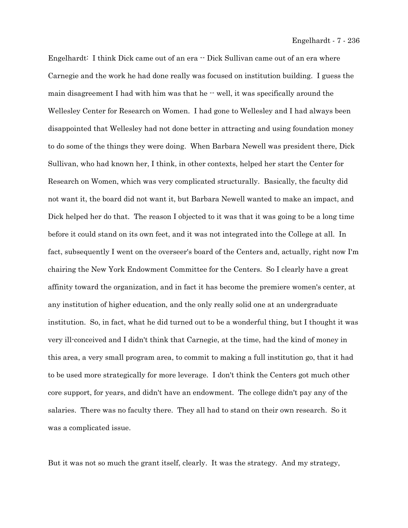Engelhardt: I think Dick came out of an era  $-$  Dick Sullivan came out of an era where Carnegie and the work he had done really was focused on institution building. I guess the main disagreement I had with him was that he  $\cdot$  well, it was specifically around the Wellesley Center for Research on Women. I had gone to Wellesley and I had always been disappointed that Wellesley had not done better in attracting and using foundation money to do some of the things they were doing. When Barbara Newell was president there, Dick Sullivan, who had known her, I think, in other contexts, helped her start the Center for Research on Women, which was very complicated structurally. Basically, the faculty did not want it, the board did not want it, but Barbara Newell wanted to make an impact, and Dick helped her do that. The reason I objected to it was that it was going to be a long time before it could stand on its own feet, and it was not integrated into the College at all. In fact, subsequently I went on the overseer's board of the Centers and, actually, right now I'm chairing the New York Endowment Committee for the Centers. So I clearly have a great affinity toward the organization, and in fact it has become the premiere women's center, at any institution of higher education, and the only really solid one at an undergraduate institution. So, in fact, what he did turned out to be a wonderful thing, but I thought it was very ill-conceived and I didn't think that Carnegie, at the time, had the kind of money in this area, a very small program area, to commit to making a full institution go, that it had to be used more strategically for more leverage. I don't think the Centers got much other core support, for years, and didn't have an endowment. The college didn't pay any of the salaries. There was no faculty there. They all had to stand on their own research. So it was a complicated issue.

But it was not so much the grant itself, clearly. It was the strategy. And my strategy,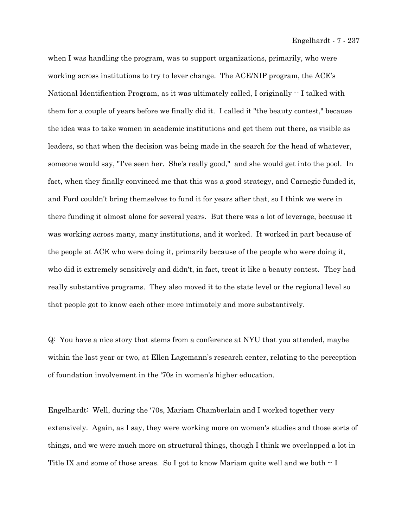when I was handling the program, was to support organizations, primarily, who were working across institutions to try to lever change. The ACE/NIP program, the ACE's National Identification Program, as it was ultimately called, I originally  $-1$  talked with them for a couple of years before we finally did it. I called it "the beauty contest," because the idea was to take women in academic institutions and get them out there, as visible as leaders, so that when the decision was being made in the search for the head of whatever, someone would say, "I've seen her. She's really good," and she would get into the pool. In fact, when they finally convinced me that this was a good strategy, and Carnegie funded it, and Ford couldn't bring themselves to fund it for years after that, so I think we were in there funding it almost alone for several years. But there was a lot of leverage, because it was working across many, many institutions, and it worked. It worked in part because of the people at ACE who were doing it, primarily because of the people who were doing it, who did it extremely sensitively and didn't, in fact, treat it like a beauty contest. They had really substantive programs. They also moved it to the state level or the regional level so that people got to know each other more intimately and more substantively.

Q: You have a nice story that stems from a conference at NYU that you attended, maybe within the last year or two, at Ellen Lagemann's research center, relating to the perception of foundation involvement in the '70s in women's higher education.

Engelhardt: Well, during the '70s, Mariam Chamberlain and I worked together very extensively. Again, as I say, they were working more on women's studies and those sorts of things, and we were much more on structural things, though I think we overlapped a lot in Title IX and some of those areas. So I got to know Mariam quite well and we both  $\cdot$  I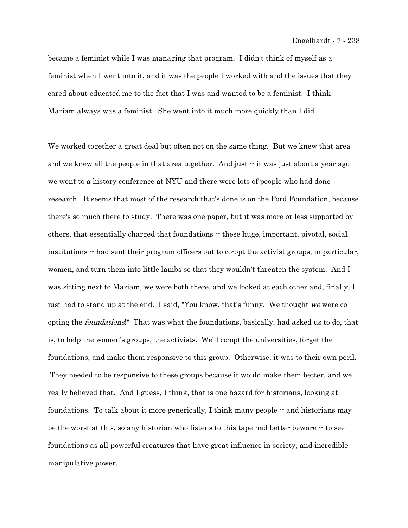became a feminist while I was managing that program. I didn't think of myself as a feminist when I went into it, and it was the people I worked with and the issues that they cared about educated me to the fact that I was and wanted to be a feminist. I think Mariam always was a feminist. She went into it much more quickly than I did.

We worked together a great deal but often not on the same thing. But we knew that area and we knew all the people in that area together. And just  $\cdot\cdot$  it was just about a year ago we went to a history conference at NYU and there were lots of people who had done research. It seems that most of the research that's done is on the Ford Foundation, because there's so much there to study. There was one paper, but it was more or less supported by others, that essentially charged that foundations -- these huge, important, pivotal, social institutions -- had sent their program officers out to co-opt the activist groups, in particular, women, and turn them into little lambs so that they wouldn't threaten the system. And I was sitting next to Mariam, we were both there, and we looked at each other and, finally, I just had to stand up at the end. I said, "You know, that's funny. We thought we were coopting the foundations!" That was what the foundations, basically, had asked us to do, that is, to help the women's groups, the activists. We'll co-opt the universities, forget the foundations, and make them responsive to this group. Otherwise, it was to their own peril. They needed to be responsive to these groups because it would make them better, and we really believed that. And I guess, I think, that is one hazard for historians, looking at foundations. To talk about it more generically, I think many people  $-$  and historians may be the worst at this, so any historian who listens to this tape had better beware -- to see foundations as all-powerful creatures that have great influence in society, and incredible manipulative power.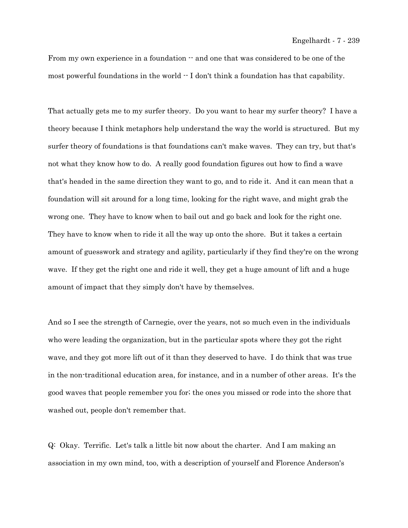From my own experience in a foundation  $-$  and one that was considered to be one of the most powerful foundations in the world  $\cdot$  I don't think a foundation has that capability.

That actually gets me to my surfer theory. Do you want to hear my surfer theory? I have a theory because I think metaphors help understand the way the world is structured. But my surfer theory of foundations is that foundations can't make waves. They can try, but that's not what they know how to do. A really good foundation figures out how to find a wave that's headed in the same direction they want to go, and to ride it. And it can mean that a foundation will sit around for a long time, looking for the right wave, and might grab the wrong one. They have to know when to bail out and go back and look for the right one. They have to know when to ride it all the way up onto the shore. But it takes a certain amount of guesswork and strategy and agility, particularly if they find they're on the wrong wave. If they get the right one and ride it well, they get a huge amount of lift and a huge amount of impact that they simply don't have by themselves.

And so I see the strength of Carnegie, over the years, not so much even in the individuals who were leading the organization, but in the particular spots where they got the right wave, and they got more lift out of it than they deserved to have. I do think that was true in the non-traditional education area, for instance, and in a number of other areas. It's the good waves that people remember you for; the ones you missed or rode into the shore that washed out, people don't remember that.

Q: Okay. Terrific. Let's talk a little bit now about the charter. And I am making an association in my own mind, too, with a description of yourself and Florence Anderson's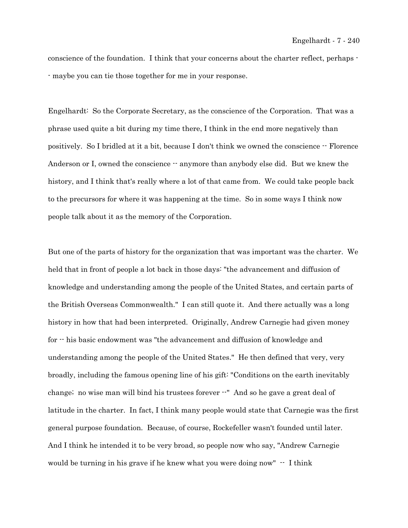conscience of the foundation. I think that your concerns about the charter reflect, perhaps - - maybe you can tie those together for me in your response.

Engelhardt: So the Corporate Secretary, as the conscience of the Corporation. That was a phrase used quite a bit during my time there, I think in the end more negatively than positively. So I bridled at it a bit, because I don't think we owned the conscience -- Florence Anderson or I, owned the conscience  $\cdot$  anymore than anybody else did. But we knew the history, and I think that's really where a lot of that came from. We could take people back to the precursors for where it was happening at the time. So in some ways I think now people talk about it as the memory of the Corporation.

But one of the parts of history for the organization that was important was the charter. We held that in front of people a lot back in those days: "the advancement and diffusion of knowledge and understanding among the people of the United States, and certain parts of the British Overseas Commonwealth." I can still quote it. And there actually was a long history in how that had been interpreted. Originally, Andrew Carnegie had given money for -- his basic endowment was "the advancement and diffusion of knowledge and understanding among the people of the United States." He then defined that very, very broadly, including the famous opening line of his gift: "Conditions on the earth inevitably change; no wise man will bind his trustees forever --" And so he gave a great deal of latitude in the charter. In fact, I think many people would state that Carnegie was the first general purpose foundation. Because, of course, Rockefeller wasn't founded until later. And I think he intended it to be very broad, so people now who say, "Andrew Carnegie would be turning in his grave if he knew what you were doing now"  $\cdot$  I think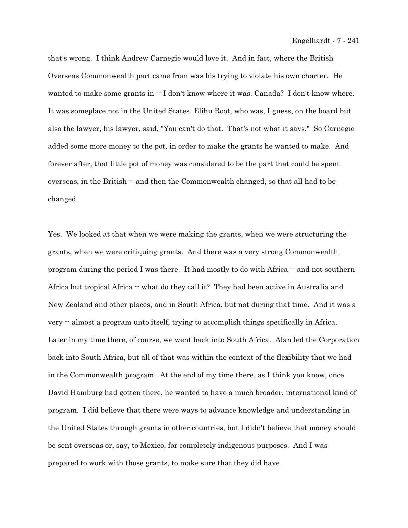that's wrong. I think Andrew Carnegie would love it. And in fact, where the British Overseas Commonwealth part came from was his trying to violate his own charter. He wanted to make some grants in  $\cdot$  I don't know where it was. Canada? I don't know where. It was someplace not in the United States. Elihu Root, who was, I guess, on the board but also the lawyer, his lawyer, said, "You can't do that. That's not what it says." So Carnegie added some more money to the pot, in order to make the grants he wanted to make. And forever after, that little pot of money was considered to be the part that could be spent overseas, in the British -- and then the Commonwealth changed, so that all had to be changed.

Yes. We looked at that when we were making the grants, when we were structuring the grants, when we were critiquing grants. And there was a very strong Commonwealth program during the period I was there. It had mostly to do with Africa  $\cdot$  and not southern Africa but tropical Africa  $-$  what do they call it? They had been active in Australia and New Zealand and other places, and in South Africa, but not during that time. And it was a very -- almost a program unto itself, trying to accomplish things specifically in Africa. Later in my time there, of course, we went back into South Africa. Alan led the Corporation back into South Africa, but all of that was within the context of the flexibility that we had in the Commonwealth program. At the end of my time there, as I think you know, once David Hamburg had gotten there, he wanted to have a much broader, international kind of program. I did believe that there were ways to advance knowledge and understanding in the United States through grants in other countries, but I didn't believe that money should be sent overseas or, say, to Mexico, for completely indigenous purposes. And I was prepared to work with those grants, to make sure that they did have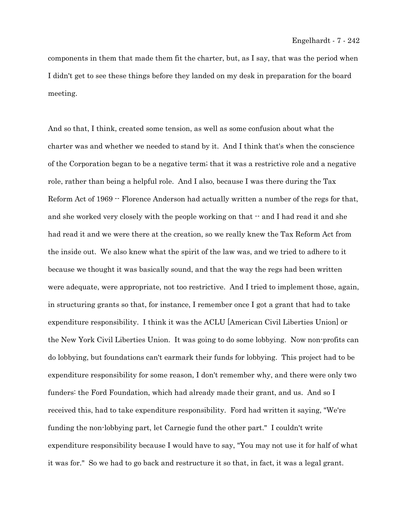components in them that made them fit the charter, but, as I say, that was the period when I didn't get to see these things before they landed on my desk in preparation for the board meeting.

And so that, I think, created some tension, as well as some confusion about what the charter was and whether we needed to stand by it. And I think that's when the conscience of the Corporation began to be a negative term; that it was a restrictive role and a negative role, rather than being a helpful role. And I also, because I was there during the Tax Reform Act of 1969 -- Florence Anderson had actually written a number of the regs for that, and she worked very closely with the people working on that  $\cdot$  and I had read it and she had read it and we were there at the creation, so we really knew the Tax Reform Act from the inside out. We also knew what the spirit of the law was, and we tried to adhere to it because we thought it was basically sound, and that the way the regs had been written were adequate, were appropriate, not too restrictive. And I tried to implement those, again, in structuring grants so that, for instance, I remember once I got a grant that had to take expenditure responsibility. I think it was the ACLU [American Civil Liberties Union] or the New York Civil Liberties Union. It was going to do some lobbying. Now non-profits can do lobbying, but foundations can't earmark their funds for lobbying. This project had to be expenditure responsibility for some reason, I don't remember why, and there were only two funders: the Ford Foundation, which had already made their grant, and us. And so I received this, had to take expenditure responsibility. Ford had written it saying, "We're funding the non-lobbying part, let Carnegie fund the other part." I couldn't write expenditure responsibility because I would have to say, "You may not use it for half of what it was for." So we had to go back and restructure it so that, in fact, it was a legal grant.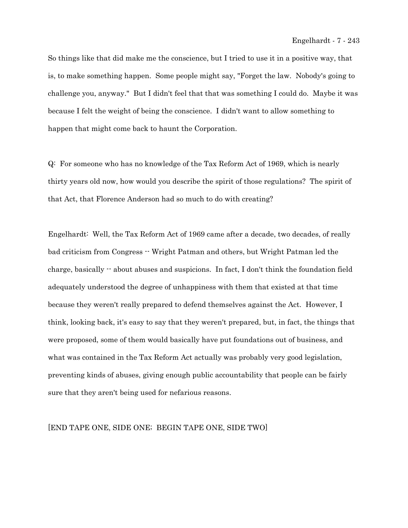So things like that did make me the conscience, but I tried to use it in a positive way, that is, to make something happen. Some people might say, "Forget the law. Nobody's going to challenge you, anyway." But I didn't feel that that was something I could do. Maybe it was because I felt the weight of being the conscience. I didn't want to allow something to happen that might come back to haunt the Corporation.

Q: For someone who has no knowledge of the Tax Reform Act of 1969, which is nearly thirty years old now, how would you describe the spirit of those regulations? The spirit of that Act, that Florence Anderson had so much to do with creating?

Engelhardt: Well, the Tax Reform Act of 1969 came after a decade, two decades, of really bad criticism from Congress -- Wright Patman and others, but Wright Patman led the charge, basically  $\cdot$  about abuses and suspicions. In fact, I don't think the foundation field adequately understood the degree of unhappiness with them that existed at that time because they weren't really prepared to defend themselves against the Act. However, I think, looking back, it's easy to say that they weren't prepared, but, in fact, the things that were proposed, some of them would basically have put foundations out of business, and what was contained in the Tax Reform Act actually was probably very good legislation, preventing kinds of abuses, giving enough public accountability that people can be fairly sure that they aren't being used for nefarious reasons.

#### [END TAPE ONE, SIDE ONE; BEGIN TAPE ONE, SIDE TWO]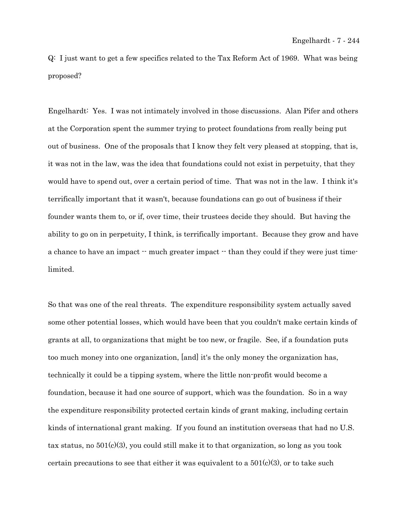Q: I just want to get a few specifics related to the Tax Reform Act of 1969. What was being proposed?

Engelhardt: Yes. I was not intimately involved in those discussions. Alan Pifer and others at the Corporation spent the summer trying to protect foundations from really being put out of business. One of the proposals that I know they felt very pleased at stopping, that is, it was not in the law, was the idea that foundations could not exist in perpetuity, that they would have to spend out, over a certain period of time. That was not in the law. I think it's terrifically important that it wasn't, because foundations can go out of business if their founder wants them to, or if, over time, their trustees decide they should. But having the ability to go on in perpetuity, I think, is terrifically important. Because they grow and have a chance to have an impact  $-$  much greater impact  $-$  than they could if they were just timelimited.

So that was one of the real threats. The expenditure responsibility system actually saved some other potential losses, which would have been that you couldn't make certain kinds of grants at all, to organizations that might be too new, or fragile. See, if a foundation puts too much money into one organization, [and] it's the only money the organization has, technically it could be a tipping system, where the little non-profit would become a foundation, because it had one source of support, which was the foundation. So in a way the expenditure responsibility protected certain kinds of grant making, including certain kinds of international grant making. If you found an institution overseas that had no U.S. tax status, no  $501(c)(3)$ , you could still make it to that organization, so long as you took certain precautions to see that either it was equivalent to a  $501(c)(3)$ , or to take such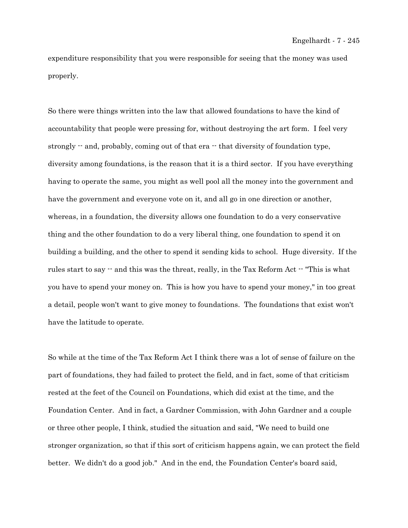expenditure responsibility that you were responsible for seeing that the money was used properly.

So there were things written into the law that allowed foundations to have the kind of accountability that people were pressing for, without destroying the art form. I feel very strongly  $-$  and, probably, coming out of that era  $-$  that diversity of foundation type, diversity among foundations, is the reason that it is a third sector. If you have everything having to operate the same, you might as well pool all the money into the government and have the government and everyone vote on it, and all go in one direction or another, whereas, in a foundation, the diversity allows one foundation to do a very conservative thing and the other foundation to do a very liberal thing, one foundation to spend it on building a building, and the other to spend it sending kids to school. Huge diversity. If the rules start to say  $-$  and this was the threat, really, in the Tax Reform Act  $-$  "This is what you have to spend your money on. This is how you have to spend your money," in too great a detail, people won't want to give money to foundations. The foundations that exist won't have the latitude to operate.

So while at the time of the Tax Reform Act I think there was a lot of sense of failure on the part of foundations, they had failed to protect the field, and in fact, some of that criticism rested at the feet of the Council on Foundations, which did exist at the time, and the Foundation Center. And in fact, a Gardner Commission, with John Gardner and a couple or three other people, I think, studied the situation and said, "We need to build one stronger organization, so that if this sort of criticism happens again, we can protect the field better. We didn't do a good job." And in the end, the Foundation Center's board said,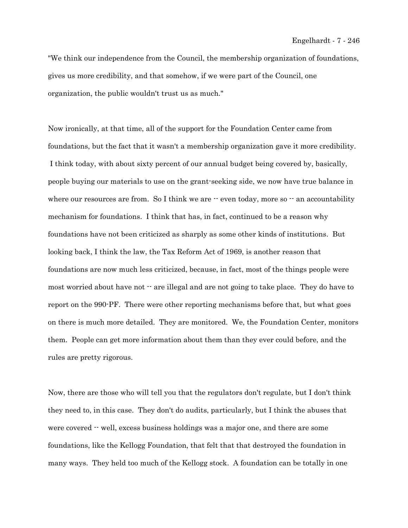"We think our independence from the Council, the membership organization of foundations, gives us more credibility, and that somehow, if we were part of the Council, one organization, the public wouldn't trust us as much."

Now ironically, at that time, all of the support for the Foundation Center came from foundations, but the fact that it wasn't a membership organization gave it more credibility. I think today, with about sixty percent of our annual budget being covered by, basically, people buying our materials to use on the grant-seeking side, we now have true balance in where our resources are from. So I think we are  $\cdot$  even today, more so  $\cdot$  an accountability mechanism for foundations. I think that has, in fact, continued to be a reason why foundations have not been criticized as sharply as some other kinds of institutions. But looking back, I think the law, the Tax Reform Act of 1969, is another reason that foundations are now much less criticized, because, in fact, most of the things people were most worried about have not  $\cdot$  are illegal and are not going to take place. They do have to report on the 990-PF. There were other reporting mechanisms before that, but what goes on there is much more detailed. They are monitored. We, the Foundation Center, monitors them. People can get more information about them than they ever could before, and the rules are pretty rigorous.

Now, there are those who will tell you that the regulators don't regulate, but I don't think they need to, in this case. They don't do audits, particularly, but I think the abuses that were covered  $-$  well, excess business holdings was a major one, and there are some foundations, like the Kellogg Foundation, that felt that that destroyed the foundation in many ways. They held too much of the Kellogg stock. A foundation can be totally in one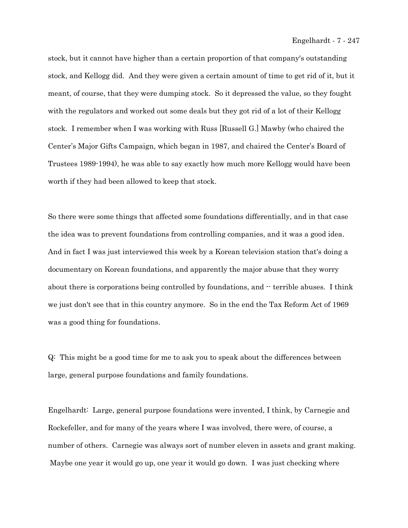stock, but it cannot have higher than a certain proportion of that company's outstanding stock, and Kellogg did. And they were given a certain amount of time to get rid of it, but it meant, of course, that they were dumping stock. So it depressed the value, so they fought with the regulators and worked out some deals but they got rid of a lot of their Kellogg stock. I remember when I was working with Russ [Russell G.] Mawby (who chaired the Center's Major Gifts Campaign, which began in 1987, and chaired the Center's Board of Trustees 1989-1994), he was able to say exactly how much more Kellogg would have been worth if they had been allowed to keep that stock.

So there were some things that affected some foundations differentially, and in that case the idea was to prevent foundations from controlling companies, and it was a good idea. And in fact I was just interviewed this week by a Korean television station that's doing a documentary on Korean foundations, and apparently the major abuse that they worry about there is corporations being controlled by foundations, and  $\cdot$  terrible abuses. I think we just don't see that in this country anymore. So in the end the Tax Reform Act of 1969 was a good thing for foundations.

Q: This might be a good time for me to ask you to speak about the differences between large, general purpose foundations and family foundations.

Engelhardt: Large, general purpose foundations were invented, I think, by Carnegie and Rockefeller, and for many of the years where I was involved, there were, of course, a number of others. Carnegie was always sort of number eleven in assets and grant making. Maybe one year it would go up, one year it would go down. I was just checking where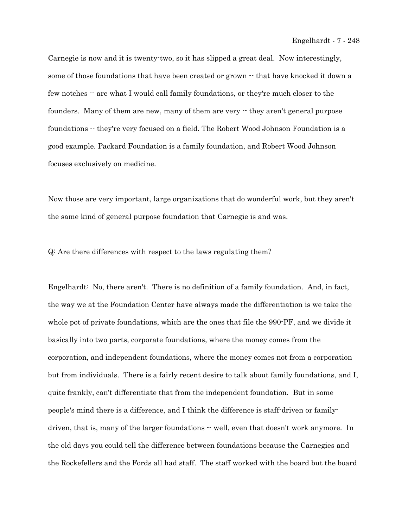Carnegie is now and it is twenty-two, so it has slipped a great deal. Now interestingly, some of those foundations that have been created or grown  $\cdot$  that have knocked it down a few notches  $\cdot$  are what I would call family foundations, or they're much closer to the founders. Many of them are new, many of them are very  $\cdot$  they aren't general purpose foundations -- they're very focused on a field. The Robert Wood Johnson Foundation is a good example. Packard Foundation is a family foundation, and Robert Wood Johnson focuses exclusively on medicine.

Now those are very important, large organizations that do wonderful work, but they aren't the same kind of general purpose foundation that Carnegie is and was.

Q: Are there differences with respect to the laws regulating them?

Engelhardt: No, there aren't. There is no definition of a family foundation. And, in fact, the way we at the Foundation Center have always made the differentiation is we take the whole pot of private foundations, which are the ones that file the 990-PF, and we divide it basically into two parts, corporate foundations, where the money comes from the corporation, and independent foundations, where the money comes not from a corporation but from individuals. There is a fairly recent desire to talk about family foundations, and I, quite frankly, can't differentiate that from the independent foundation. But in some people's mind there is a difference, and I think the difference is staff-driven or familydriven, that is, many of the larger foundations  $\cdot$  well, even that doesn't work anymore. In the old days you could tell the difference between foundations because the Carnegies and the Rockefellers and the Fords all had staff. The staff worked with the board but the board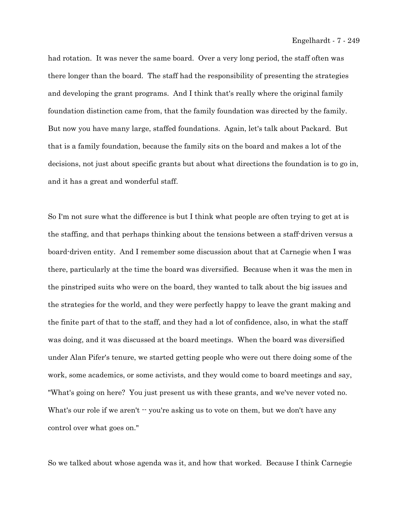had rotation. It was never the same board. Over a very long period, the staff often was there longer than the board. The staff had the responsibility of presenting the strategies and developing the grant programs. And I think that's really where the original family foundation distinction came from, that the family foundation was directed by the family. But now you have many large, staffed foundations. Again, let's talk about Packard. But that is a family foundation, because the family sits on the board and makes a lot of the decisions, not just about specific grants but about what directions the foundation is to go in, and it has a great and wonderful staff.

So I'm not sure what the difference is but I think what people are often trying to get at is the staffing, and that perhaps thinking about the tensions between a staff-driven versus a board-driven entity. And I remember some discussion about that at Carnegie when I was there, particularly at the time the board was diversified. Because when it was the men in the pinstriped suits who were on the board, they wanted to talk about the big issues and the strategies for the world, and they were perfectly happy to leave the grant making and the finite part of that to the staff, and they had a lot of confidence, also, in what the staff was doing, and it was discussed at the board meetings. When the board was diversified under Alan Pifer's tenure, we started getting people who were out there doing some of the work, some academics, or some activists, and they would come to board meetings and say, "What's going on here? You just present us with these grants, and we've never voted no. What's our role if we aren't  $\cdot \cdot$  you're asking us to vote on them, but we don't have any control over what goes on."

So we talked about whose agenda was it, and how that worked. Because I think Carnegie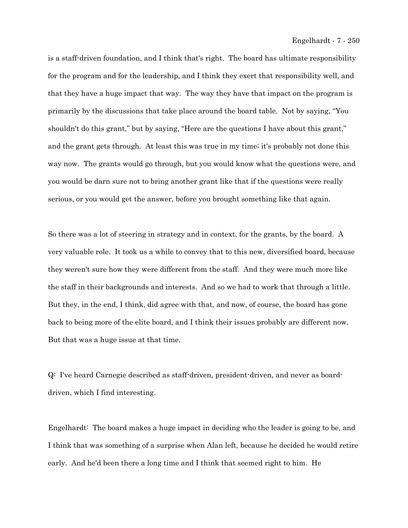is a staff-driven foundation, and I think that's right. The board has ultimate responsibility for the program and for the leadership, and I think they exert that responsibility well, and that they have a huge impact that way. The way they have that impact on the program is primarily by the discussions that take place around the board table. Not by saying, "You shouldn't do this grant," but by saying, "Here are the questions I have about this grant," and the grant gets through. At least this was true in my time; it's probably not done this way now. The grants would go through, but you would know what the questions were, and you would be darn sure not to bring another grant like that if the questions were really serious, or you would get the answer, before you brought something like that again.

So there was a lot of steering in strategy and in context, for the grants, by the board. A very valuable role. It took us a while to convey that to this new, diversified board, because they weren't sure how they were different from the staff. And they were much more like the staff in their backgrounds and interests. And so we had to work that through a little. But they, in the end, I think, did agree with that, and now, of course, the board has gone back to being more of the elite board, and I think their issues probably are different now. But that was a huge issue at that time.

Q: I've heard Carnegie described as staff-driven, president-driven, and never as boarddriven, which I find interesting.

Engelhardt: The board makes a huge impact in deciding who the leader is going to be, and I think that was something of a surprise when Alan left, because he decided he would retire early. And he'd been there a long time and I think that seemed right to him. He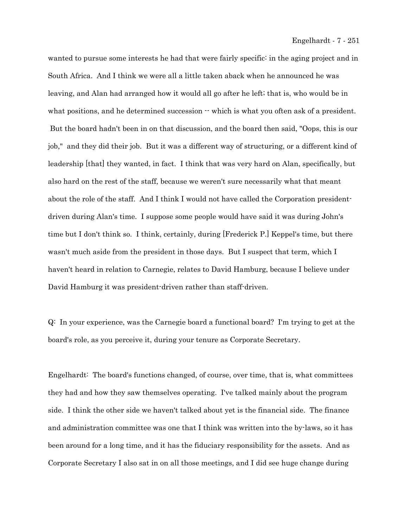wanted to pursue some interests he had that were fairly specific: in the aging project and in South Africa. And I think we were all a little taken aback when he announced he was leaving, and Alan had arranged how it would all go after he left; that is, who would be in what positions, and he determined succession  $\cdot \cdot$  which is what you often ask of a president. But the board hadn't been in on that discussion, and the board then said, "Oops, this is our job," and they did their job. But it was a different way of structuring, or a different kind of leadership [that] they wanted, in fact. I think that was very hard on Alan, specifically, but also hard on the rest of the staff, because we weren't sure necessarily what that meant about the role of the staff. And I think I would not have called the Corporation presidentdriven during Alan's time. I suppose some people would have said it was during John's time but I don't think so. I think, certainly, during [Frederick P.] Keppel's time, but there wasn't much aside from the president in those days. But I suspect that term, which I haven't heard in relation to Carnegie, relates to David Hamburg, because I believe under David Hamburg it was president-driven rather than staff-driven.

Q: In your experience, was the Carnegie board a functional board? I'm trying to get at the board's role, as you perceive it, during your tenure as Corporate Secretary.

Engelhardt: The board's functions changed, of course, over time, that is, what committees they had and how they saw themselves operating. I've talked mainly about the program side. I think the other side we haven't talked about yet is the financial side. The finance and administration committee was one that I think was written into the by-laws, so it has been around for a long time, and it has the fiduciary responsibility for the assets. And as Corporate Secretary I also sat in on all those meetings, and I did see huge change during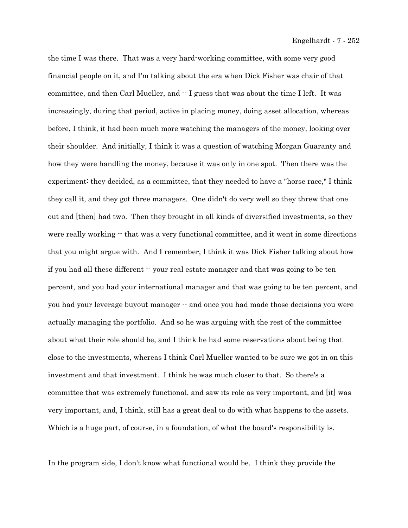the time I was there. That was a very hard-working committee, with some very good financial people on it, and I'm talking about the era when Dick Fisher was chair of that committee, and then Carl Mueller, and  $\cdot$  I guess that was about the time I left. It was increasingly, during that period, active in placing money, doing asset allocation, whereas before, I think, it had been much more watching the managers of the money, looking over their shoulder. And initially, I think it was a question of watching Morgan Guaranty and how they were handling the money, because it was only in one spot. Then there was the experiment: they decided, as a committee, that they needed to have a "horse race," I think they call it, and they got three managers. One didn't do very well so they threw that one out and [then] had two. Then they brought in all kinds of diversified investments, so they were really working  $\cdot$  that was a very functional committee, and it went in some directions that you might argue with. And I remember, I think it was Dick Fisher talking about how if you had all these different  $\cdot$  your real estate manager and that was going to be ten percent, and you had your international manager and that was going to be ten percent, and you had your leverage buyout manager  $\cdot$  and once you had made those decisions you were actually managing the portfolio. And so he was arguing with the rest of the committee about what their role should be, and I think he had some reservations about being that close to the investments, whereas I think Carl Mueller wanted to be sure we got in on this investment and that investment. I think he was much closer to that. So there's a committee that was extremely functional, and saw its role as very important, and [it] was very important, and, I think, still has a great deal to do with what happens to the assets. Which is a huge part, of course, in a foundation, of what the board's responsibility is.

In the program side, I don't know what functional would be. I think they provide the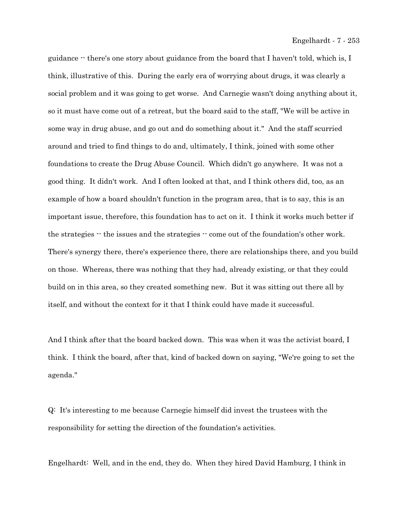guidance -- there's one story about guidance from the board that I haven't told, which is, I think, illustrative of this. During the early era of worrying about drugs, it was clearly a social problem and it was going to get worse. And Carnegie wasn't doing anything about it, so it must have come out of a retreat, but the board said to the staff, "We will be active in some way in drug abuse, and go out and do something about it." And the staff scurried around and tried to find things to do and, ultimately, I think, joined with some other foundations to create the Drug Abuse Council. Which didn't go anywhere. It was not a good thing. It didn't work. And I often looked at that, and I think others did, too, as an example of how a board shouldn't function in the program area, that is to say, this is an important issue, therefore, this foundation has to act on it. I think it works much better if the strategies  $\cdot\cdot$  the issues and the strategies  $\cdot\cdot$  come out of the foundation's other work. There's synergy there, there's experience there, there are relationships there, and you build on those. Whereas, there was nothing that they had, already existing, or that they could build on in this area, so they created something new. But it was sitting out there all by itself, and without the context for it that I think could have made it successful.

And I think after that the board backed down. This was when it was the activist board, I think. I think the board, after that, kind of backed down on saying, "We're going to set the agenda."

Q: It's interesting to me because Carnegie himself did invest the trustees with the responsibility for setting the direction of the foundation's activities.

Engelhardt: Well, and in the end, they do. When they hired David Hamburg, I think in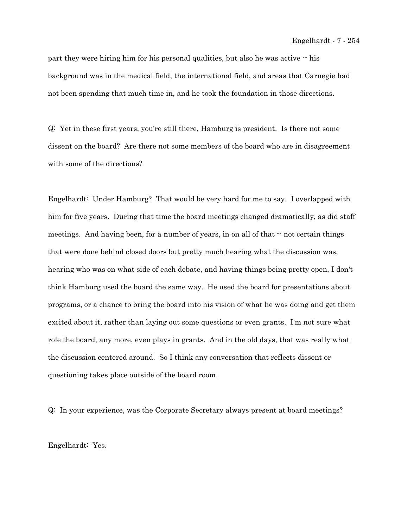part they were hiring him for his personal qualities, but also he was active  $\cdot$  his background was in the medical field, the international field, and areas that Carnegie had not been spending that much time in, and he took the foundation in those directions.

Q: Yet in these first years, you're still there, Hamburg is president. Is there not some dissent on the board? Are there not some members of the board who are in disagreement with some of the directions?

Engelhardt: Under Hamburg? That would be very hard for me to say. I overlapped with him for five years. During that time the board meetings changed dramatically, as did staff meetings. And having been, for a number of years, in on all of that  $\cdot$  not certain things that were done behind closed doors but pretty much hearing what the discussion was, hearing who was on what side of each debate, and having things being pretty open, I don't think Hamburg used the board the same way. He used the board for presentations about programs, or a chance to bring the board into his vision of what he was doing and get them excited about it, rather than laying out some questions or even grants. I'm not sure what role the board, any more, even plays in grants. And in the old days, that was really what the discussion centered around. So I think any conversation that reflects dissent or questioning takes place outside of the board room.

Q: In your experience, was the Corporate Secretary always present at board meetings?

Engelhardt: Yes.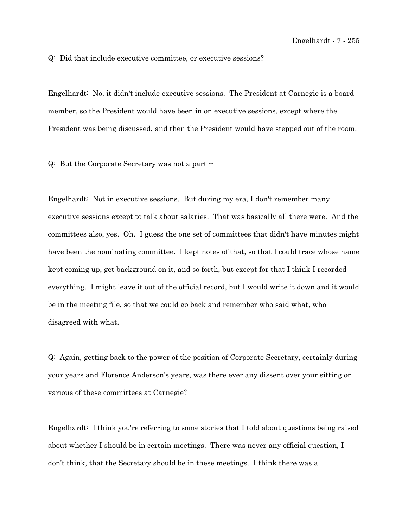Q: Did that include executive committee, or executive sessions?

Engelhardt: No, it didn't include executive sessions. The President at Carnegie is a board member, so the President would have been in on executive sessions, except where the President was being discussed, and then the President would have stepped out of the room.

Q: But the Corporate Secretary was not a part --

Engelhardt: Not in executive sessions. But during my era, I don't remember many executive sessions except to talk about salaries. That was basically all there were. And the committees also, yes. Oh. I guess the one set of committees that didn't have minutes might have been the nominating committee. I kept notes of that, so that I could trace whose name kept coming up, get background on it, and so forth, but except for that I think I recorded everything. I might leave it out of the official record, but I would write it down and it would be in the meeting file, so that we could go back and remember who said what, who disagreed with what.

Q: Again, getting back to the power of the position of Corporate Secretary, certainly during your years and Florence Anderson's years, was there ever any dissent over your sitting on various of these committees at Carnegie?

Engelhardt: I think you're referring to some stories that I told about questions being raised about whether I should be in certain meetings. There was never any official question, I don't think, that the Secretary should be in these meetings. I think there was a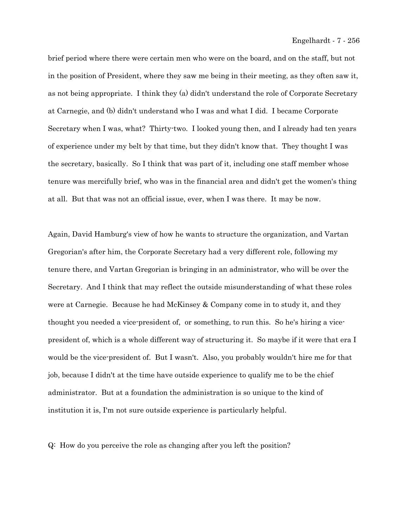brief period where there were certain men who were on the board, and on the staff, but not in the position of President, where they saw me being in their meeting, as they often saw it, as not being appropriate. I think they (a) didn't understand the role of Corporate Secretary at Carnegie, and (b) didn't understand who I was and what I did. I became Corporate Secretary when I was, what? Thirty-two. I looked young then, and I already had ten years of experience under my belt by that time, but they didn't know that. They thought I was the secretary, basically. So I think that was part of it, including one staff member whose tenure was mercifully brief, who was in the financial area and didn't get the women's thing at all. But that was not an official issue, ever, when I was there. It may be now.

Again, David Hamburg's view of how he wants to structure the organization, and Vartan Gregorian's after him, the Corporate Secretary had a very different role, following my tenure there, and Vartan Gregorian is bringing in an administrator, who will be over the Secretary. And I think that may reflect the outside misunderstanding of what these roles were at Carnegie. Because he had McKinsey & Company come in to study it, and they thought you needed a vice-president of, or something, to run this. So he's hiring a vicepresident of, which is a whole different way of structuring it. So maybe if it were that era I would be the vice-president of. But I wasn't. Also, you probably wouldn't hire me for that job, because I didn't at the time have outside experience to qualify me to be the chief administrator. But at a foundation the administration is so unique to the kind of institution it is, I'm not sure outside experience is particularly helpful.

Q: How do you perceive the role as changing after you left the position?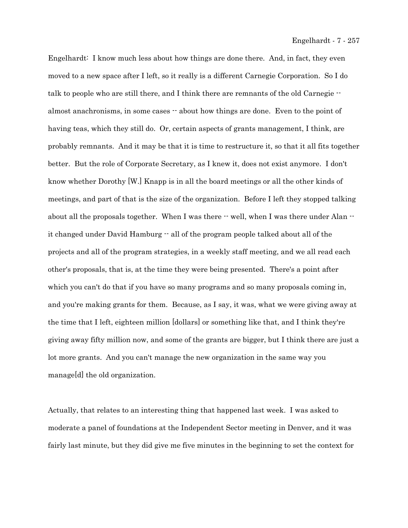Engelhardt: I know much less about how things are done there. And, in fact, they even moved to a new space after I left, so it really is a different Carnegie Corporation. So I do talk to people who are still there, and I think there are remnants of the old Carnegie - almost anachronisms, in some cases  $\cdot$  about how things are done. Even to the point of having teas, which they still do. Or, certain aspects of grants management, I think, are probably remnants. And it may be that it is time to restructure it, so that it all fits together better. But the role of Corporate Secretary, as I knew it, does not exist anymore. I don't know whether Dorothy [W.] Knapp is in all the board meetings or all the other kinds of meetings, and part of that is the size of the organization. Before I left they stopped talking about all the proposals together. When I was there  $-$  well, when I was there under Alan  $$ it changed under David Hamburg  $-$  all of the program people talked about all of the projects and all of the program strategies, in a weekly staff meeting, and we all read each other's proposals, that is, at the time they were being presented. There's a point after which you can't do that if you have so many programs and so many proposals coming in, and you're making grants for them. Because, as I say, it was, what we were giving away at the time that I left, eighteen million [dollars] or something like that, and I think they're giving away fifty million now, and some of the grants are bigger, but I think there are just a lot more grants. And you can't manage the new organization in the same way you manage[d] the old organization.

Actually, that relates to an interesting thing that happened last week. I was asked to moderate a panel of foundations at the Independent Sector meeting in Denver, and it was fairly last minute, but they did give me five minutes in the beginning to set the context for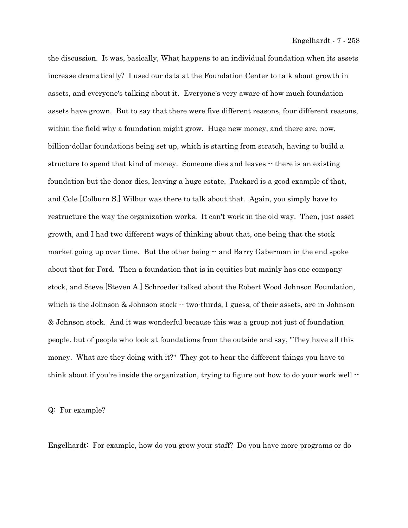the discussion. It was, basically, What happens to an individual foundation when its assets increase dramatically? I used our data at the Foundation Center to talk about growth in assets, and everyone's talking about it. Everyone's very aware of how much foundation assets have grown. But to say that there were five different reasons, four different reasons, within the field why a foundation might grow. Huge new money, and there are, now, billion-dollar foundations being set up, which is starting from scratch, having to build a structure to spend that kind of money. Someone dies and leaves  $\cdot$  there is an existing foundation but the donor dies, leaving a huge estate. Packard is a good example of that, and Cole [Colburn S.] Wilbur was there to talk about that. Again, you simply have to restructure the way the organization works. It can't work in the old way. Then, just asset growth, and I had two different ways of thinking about that, one being that the stock market going up over time. But the other being  $-$  and Barry Gaberman in the end spoke about that for Ford. Then a foundation that is in equities but mainly has one company stock, and Steve [Steven A.] Schroeder talked about the Robert Wood Johnson Foundation, which is the Johnson  $\&$  Johnson stock  $\cdot \cdot$  two-thirds, I guess, of their assets, are in Johnson & Johnson stock. And it was wonderful because this was a group not just of foundation people, but of people who look at foundations from the outside and say, "They have all this money. What are they doing with it?" They got to hear the different things you have to think about if you're inside the organization, trying to figure out how to do your work well  $\cdot$ 

Q: For example?

Engelhardt: For example, how do you grow your staff? Do you have more programs or do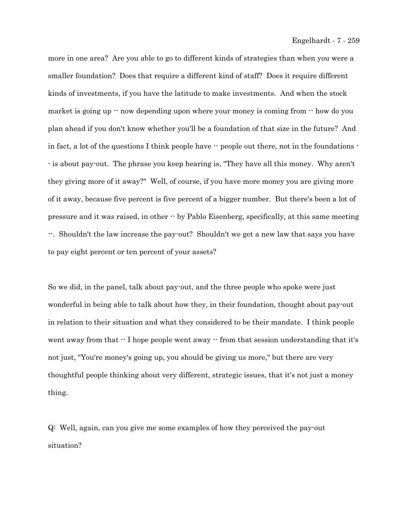more in one area? Are you able to go to different kinds of strategies than when you were a smaller foundation? Does that require a different kind of staff? Does it require different kinds of investments, if you have the latitude to make investments. And when the stock market is going up  $\cdot$  now depending upon where your money is coming from  $\cdot$  how do you plan ahead if you don't know whether you'll be a foundation of that size in the future? And in fact, a lot of the questions I think people have  $\cdot \cdot$  people out there, not in the foundations  $\cdot$ - is about pay-out. The phrase you keep hearing is, "They have all this money. Why aren't they giving more of it away?" Well, of course, if you have more money you are giving more of it away, because five percent is five percent of a bigger number. But there's been a lot of pressure and it was raised, in other -- by Pablo Eisenberg, specifically, at this same meeting --. Shouldn't the law increase the pay-out? Shouldn't we get a new law that says you have to pay eight percent or ten percent of your assets?

So we did, in the panel, talk about pay-out, and the three people who spoke were just wonderful in being able to talk about how they, in their foundation, thought about pay-out in relation to their situation and what they considered to be their mandate. I think people went away from that  $\cdot$ - I hope people went away  $\cdot$ - from that session understanding that it's not just, "You're money's going up, you should be giving us more," but there are very thoughtful people thinking about very different, strategic issues, that it's not just a money thing.

Q: Well, again, can you give me some examples of how they perceived the pay-out situation?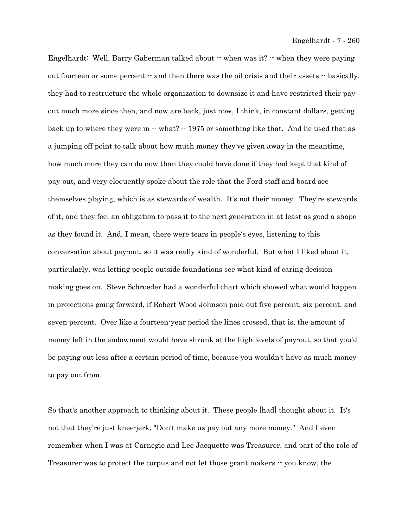Engelhardt: Well, Barry Gaberman talked about -- when was it? -- when they were paying out fourteen or some percent  $-$  and then there was the oil crisis and their assets  $-$  basically, they had to restructure the whole organization to downsize it and have restricted their payout much more since then, and now are back, just now, I think, in constant dollars, getting back up to where they were in  $\cdot$  what?  $\cdot$  1975 or something like that. And he used that as a jumping off point to talk about how much money they've given away in the meantime, how much more they can do now than they could have done if they had kept that kind of pay-out, and very eloquently spoke about the role that the Ford staff and board see themselves playing, which is as stewards of wealth. It's not their money. They're stewards of it, and they feel an obligation to pass it to the next generation in at least as good a shape as they found it. And, I mean, there were tears in people's eyes, listening to this conversation about pay-out, so it was really kind of wonderful. But what I liked about it, particularly, was letting people outside foundations see what kind of caring decision making goes on. Steve Schroeder had a wonderful chart which showed what would happen in projections going forward, if Robert Wood Johnson paid out five percent, six percent, and seven percent. Over like a fourteen-year period the lines crossed, that is, the amount of money left in the endowment would have shrunk at the high levels of pay-out, so that you'd be paying out less after a certain period of time, because you wouldn't have as much money to pay out from.

So that's another approach to thinking about it. These people [had] thought about it. It's not that they're just knee-jerk, "Don't make us pay out any more money." And I even remember when I was at Carnegie and Lee Jacquette was Treasurer, and part of the role of Treasurer was to protect the corpus and not let those grant makers -- you know, the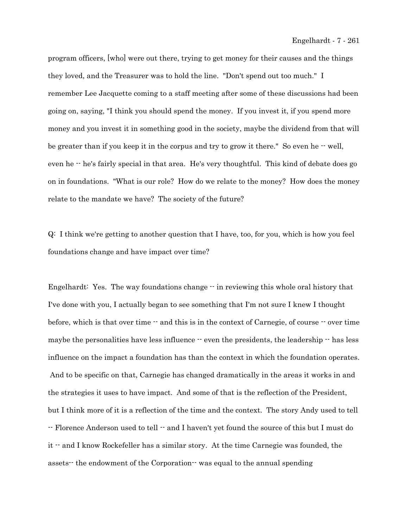program officers, [who] were out there, trying to get money for their causes and the things they loved, and the Treasurer was to hold the line. "Don't spend out too much." I remember Lee Jacquette coming to a staff meeting after some of these discussions had been going on, saying, "I think you should spend the money. If you invest it, if you spend more money and you invest it in something good in the society, maybe the dividend from that will be greater than if you keep it in the corpus and try to grow it there." So even he  $-$  well, even he  $\cdot$  he's fairly special in that area. He's very thoughtful. This kind of debate does go on in foundations. "What is our role? How do we relate to the money? How does the money relate to the mandate we have? The society of the future?

Q: I think we're getting to another question that I have, too, for you, which is how you feel foundations change and have impact over time?

Engelhardt: Yes. The way foundations change  $\cdot$  in reviewing this whole oral history that I've done with you, I actually began to see something that I'm not sure I knew I thought before, which is that over time  $-$  and this is in the context of Carnegie, of course  $-$  over time maybe the personalities have less influence  $-$  even the presidents, the leadership  $-$  has less influence on the impact a foundation has than the context in which the foundation operates. And to be specific on that, Carnegie has changed dramatically in the areas it works in and the strategies it uses to have impact. And some of that is the reflection of the President, but I think more of it is a reflection of the time and the context. The story Andy used to tell -- Florence Anderson used to tell -- and I haven't yet found the source of this but I must do it -- and I know Rockefeller has a similar story. At the time Carnegie was founded, the assets-- the endowment of the Corporation-- was equal to the annual spending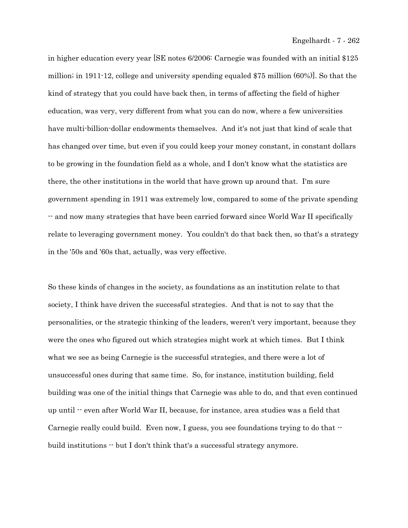in higher education every year [SE notes 6/2006: Carnegie was founded with an initial \$125 million; in 1911-12, college and university spending equaled \$75 million (60%)]. So that the kind of strategy that you could have back then, in terms of affecting the field of higher education, was very, very different from what you can do now, where a few universities have multi-billion-dollar endowments themselves. And it's not just that kind of scale that has changed over time, but even if you could keep your money constant, in constant dollars to be growing in the foundation field as a whole, and I don't know what the statistics are there, the other institutions in the world that have grown up around that. I'm sure government spending in 1911 was extremely low, compared to some of the private spending -- and now many strategies that have been carried forward since World War II specifically relate to leveraging government money. You couldn't do that back then, so that's a strategy in the '50s and '60s that, actually, was very effective.

So these kinds of changes in the society, as foundations as an institution relate to that society, I think have driven the successful strategies. And that is not to say that the personalities, or the strategic thinking of the leaders, weren't very important, because they were the ones who figured out which strategies might work at which times. But I think what we see as being Carnegie is the successful strategies, and there were a lot of unsuccessful ones during that same time. So, for instance, institution building, field building was one of the initial things that Carnegie was able to do, and that even continued up until -- even after World War II, because, for instance, area studies was a field that Carnegie really could build. Even now, I guess, you see foundations trying to do that  $\cdot$ build institutions -- but I don't think that's a successful strategy anymore.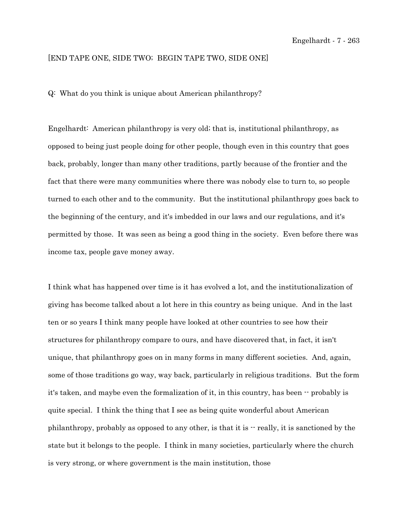## [END TAPE ONE, SIDE TWO; BEGIN TAPE TWO, SIDE ONE]

Q: What do you think is unique about American philanthropy?

Engelhardt: American philanthropy is very old; that is, institutional philanthropy, as opposed to being just people doing for other people, though even in this country that goes back, probably, longer than many other traditions, partly because of the frontier and the fact that there were many communities where there was nobody else to turn to, so people turned to each other and to the community. But the institutional philanthropy goes back to the beginning of the century, and it's imbedded in our laws and our regulations, and it's permitted by those. It was seen as being a good thing in the society. Even before there was income tax, people gave money away.

I think what has happened over time is it has evolved a lot, and the institutionalization of giving has become talked about a lot here in this country as being unique. And in the last ten or so years I think many people have looked at other countries to see how their structures for philanthropy compare to ours, and have discovered that, in fact, it isn't unique, that philanthropy goes on in many forms in many different societies. And, again, some of those traditions go way, way back, particularly in religious traditions. But the form it's taken, and maybe even the formalization of it, in this country, has been  $\cdot$  probably is quite special. I think the thing that I see as being quite wonderful about American philanthropy, probably as opposed to any other, is that it is -- really, it is sanctioned by the state but it belongs to the people. I think in many societies, particularly where the church is very strong, or where government is the main institution, those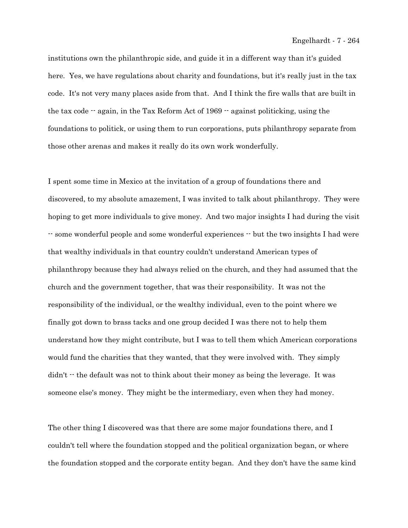institutions own the philanthropic side, and guide it in a different way than it's guided here. Yes, we have regulations about charity and foundations, but it's really just in the tax code. It's not very many places aside from that. And I think the fire walls that are built in the tax code  $\cdot$  again, in the Tax Reform Act of 1969  $\cdot$  against politicking, using the foundations to politick, or using them to run corporations, puts philanthropy separate from those other arenas and makes it really do its own work wonderfully.

I spent some time in Mexico at the invitation of a group of foundations there and discovered, to my absolute amazement, I was invited to talk about philanthropy. They were hoping to get more individuals to give money. And two major insights I had during the visit -- some wonderful people and some wonderful experiences -- but the two insights I had were that wealthy individuals in that country couldn't understand American types of philanthropy because they had always relied on the church, and they had assumed that the church and the government together, that was their responsibility. It was not the responsibility of the individual, or the wealthy individual, even to the point where we finally got down to brass tacks and one group decided I was there not to help them understand how they might contribute, but I was to tell them which American corporations would fund the charities that they wanted, that they were involved with. They simply  $\text{d}$  didn't  $\cdot$  the default was not to think about their money as being the leverage. It was someone else's money. They might be the intermediary, even when they had money.

The other thing I discovered was that there are some major foundations there, and I couldn't tell where the foundation stopped and the political organization began, or where the foundation stopped and the corporate entity began. And they don't have the same kind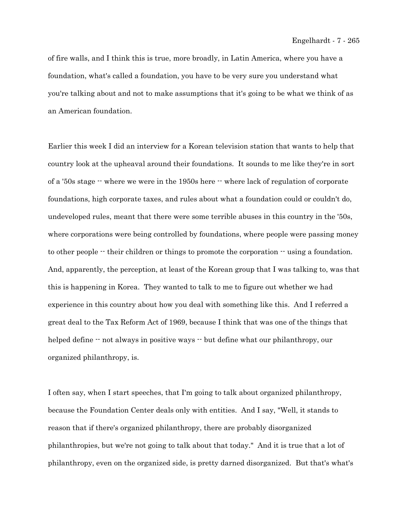of fire walls, and I think this is true, more broadly, in Latin America, where you have a foundation, what's called a foundation, you have to be very sure you understand what you're talking about and not to make assumptions that it's going to be what we think of as an American foundation.

Earlier this week I did an interview for a Korean television station that wants to help that country look at the upheaval around their foundations. It sounds to me like they're in sort of a '50s stage -- where we were in the 1950s here -- where lack of regulation of corporate foundations, high corporate taxes, and rules about what a foundation could or couldn't do, undeveloped rules, meant that there were some terrible abuses in this country in the '50s, where corporations were being controlled by foundations, where people were passing money to other people  $\cdot$  their children or things to promote the corporation  $\cdot$  using a foundation. And, apparently, the perception, at least of the Korean group that I was talking to, was that this is happening in Korea. They wanted to talk to me to figure out whether we had experience in this country about how you deal with something like this. And I referred a great deal to the Tax Reform Act of 1969, because I think that was one of the things that helped define  $\cdot$  not always in positive ways  $\cdot$  but define what our philanthropy, our organized philanthropy, is.

I often say, when I start speeches, that I'm going to talk about organized philanthropy, because the Foundation Center deals only with entities. And I say, "Well, it stands to reason that if there's organized philanthropy, there are probably disorganized philanthropies, but we're not going to talk about that today." And it is true that a lot of philanthropy, even on the organized side, is pretty darned disorganized. But that's what's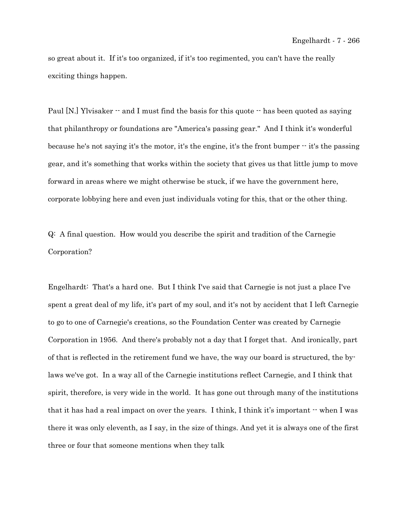so great about it. If it's too organized, if it's too regimented, you can't have the really exciting things happen.

Paul  $[N.]$  Ylvisaker  $\cdot$  and I must find the basis for this quote  $\cdot$  has been quoted as saying that philanthropy or foundations are "America's passing gear." And I think it's wonderful because he's not saying it's the motor, it's the engine, it's the front bumper -- it's the passing gear, and it's something that works within the society that gives us that little jump to move forward in areas where we might otherwise be stuck, if we have the government here, corporate lobbying here and even just individuals voting for this, that or the other thing.

Q: A final question. How would you describe the spirit and tradition of the Carnegie Corporation?

Engelhardt: That's a hard one. But I think I've said that Carnegie is not just a place I've spent a great deal of my life, it's part of my soul, and it's not by accident that I left Carnegie to go to one of Carnegie's creations, so the Foundation Center was created by Carnegie Corporation in 1956. And there's probably not a day that I forget that. And ironically, part of that is reflected in the retirement fund we have, the way our board is structured, the bylaws we've got. In a way all of the Carnegie institutions reflect Carnegie, and I think that spirit, therefore, is very wide in the world. It has gone out through many of the institutions that it has had a real impact on over the years. I think, I think it's important  $\cdot$  when I was there it was only eleventh, as I say, in the size of things. And yet it is always one of the first three or four that someone mentions when they talk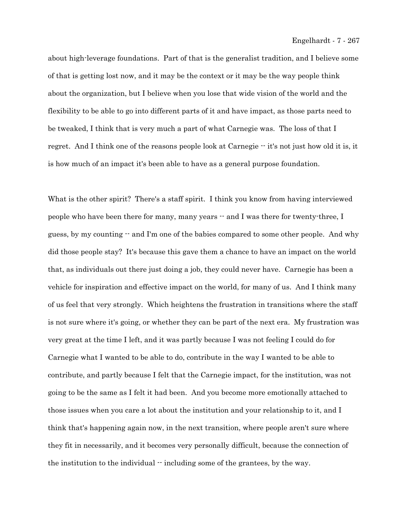about high-leverage foundations. Part of that is the generalist tradition, and I believe some of that is getting lost now, and it may be the context or it may be the way people think about the organization, but I believe when you lose that wide vision of the world and the flexibility to be able to go into different parts of it and have impact, as those parts need to be tweaked, I think that is very much a part of what Carnegie was. The loss of that I regret. And I think one of the reasons people look at Carnegie  $\cdot \cdot$  it's not just how old it is, it is how much of an impact it's been able to have as a general purpose foundation.

What is the other spirit? There's a staff spirit. I think you know from having interviewed people who have been there for many, many years -- and I was there for twenty-three, I guess, by my counting -- and I'm one of the babies compared to some other people. And why did those people stay? It's because this gave them a chance to have an impact on the world that, as individuals out there just doing a job, they could never have. Carnegie has been a vehicle for inspiration and effective impact on the world, for many of us. And I think many of us feel that very strongly. Which heightens the frustration in transitions where the staff is not sure where it's going, or whether they can be part of the next era. My frustration was very great at the time I left, and it was partly because I was not feeling I could do for Carnegie what I wanted to be able to do, contribute in the way I wanted to be able to contribute, and partly because I felt that the Carnegie impact, for the institution, was not going to be the same as I felt it had been. And you become more emotionally attached to those issues when you care a lot about the institution and your relationship to it, and I think that's happening again now, in the next transition, where people aren't sure where they fit in necessarily, and it becomes very personally difficult, because the connection of the institution to the individual  $\cdot$  including some of the grantees, by the way.